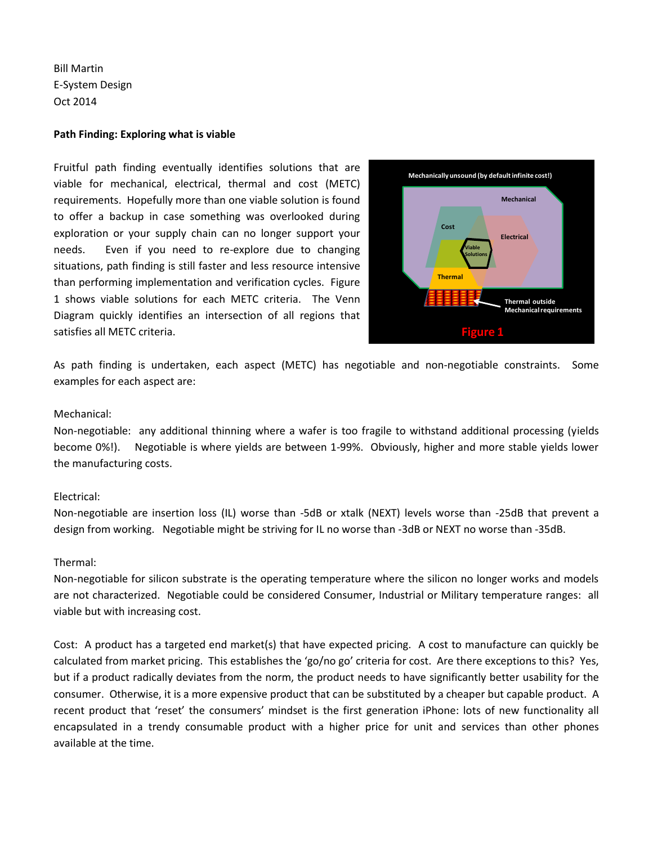Bill Martin E-System Design Oct 2014

## **Path Finding: Exploring what is viable**

Fruitful path finding eventually identifies solutions that are viable for mechanical, electrical, thermal and cost (METC) requirements. Hopefully more than one viable solution is found to offer a backup in case something was overlooked during exploration or your supply chain can no longer support your needs. Even if you need to re-explore due to changing situations, path finding is still faster and less resource intensive than performing implementation and verification cycles. Figure 1 shows viable solutions for each METC criteria. The Venn Diagram quickly identifies an intersection of all regions that satisfies all METC criteria.



As path finding is undertaken, each aspect (METC) has negotiable and non-negotiable constraints. Some examples for each aspect are:

# Mechanical:

Non-negotiable: any additional thinning where a wafer is too fragile to withstand additional processing (yields become 0%!). Negotiable is where yields are between 1-99%. Obviously, higher and more stable yields lower the manufacturing costs.

# Electrical:

Non-negotiable are insertion loss (IL) worse than -5dB or xtalk (NEXT) levels worse than -25dB that prevent a design from working. Negotiable might be striving for IL no worse than -3dB or NEXT no worse than -35dB.

## Thermal:

Non-negotiable for silicon substrate is the operating temperature where the silicon no longer works and models are not characterized. Negotiable could be considered Consumer, Industrial or Military temperature ranges: all viable but with increasing cost.

Cost: A product has a targeted end market(s) that have expected pricing. A cost to manufacture can quickly be calculated from market pricing. This establishes the 'go/no go' criteria for cost. Are there exceptions to this? Yes, but if a product radically deviates from the norm, the product needs to have significantly better usability for the consumer. Otherwise, it is a more expensive product that can be substituted by a cheaper but capable product. A recent product that 'reset' the consumers' mindset is the first generation iPhone: lots of new functionality all encapsulated in a trendy consumable product with a higher price for unit and services than other phones available at the time.